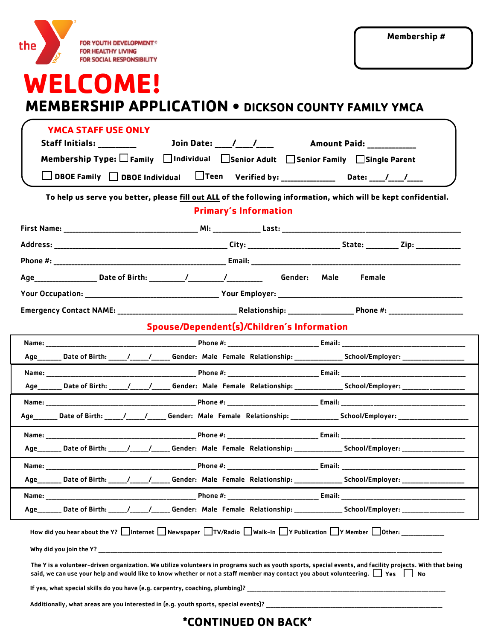|     | ത |                                                                                                |
|-----|---|------------------------------------------------------------------------------------------------|
| the |   | <b>FOR YOUTH DEVELOPMENT®</b><br><b>FOR HEALTHY LIVING</b><br><b>FOR SOCIAL RESPONSIBILITY</b> |

## **WELCOME!**

## **MEMBERSHIP APPLICATION • DICKSON COUNTY FAMILY YMCA**

| <b>YMCA STAFF USE ONLY</b>                                                                                                                                                                                                                                                                           |  |  |  |  |
|------------------------------------------------------------------------------------------------------------------------------------------------------------------------------------------------------------------------------------------------------------------------------------------------------|--|--|--|--|
| Membership Type: □ Family □ Individual □ Senior Adult □ Senior Family □ Single Parent                                                                                                                                                                                                                |  |  |  |  |
| $\Box$ DBOE Family $\Box$ DBOE Individual $\Box$ Teen Verified by: _______________ Date: ____/___/____                                                                                                                                                                                               |  |  |  |  |
| To help us serve you better, please fill out ALL of the following information, which will be kept confidential.                                                                                                                                                                                      |  |  |  |  |
| <b>Primary's Information</b>                                                                                                                                                                                                                                                                         |  |  |  |  |
|                                                                                                                                                                                                                                                                                                      |  |  |  |  |
|                                                                                                                                                                                                                                                                                                      |  |  |  |  |
|                                                                                                                                                                                                                                                                                                      |  |  |  |  |
| <b>Female</b>                                                                                                                                                                                                                                                                                        |  |  |  |  |
|                                                                                                                                                                                                                                                                                                      |  |  |  |  |
| Spouse/Dependent(s)/Children's Information                                                                                                                                                                                                                                                           |  |  |  |  |
|                                                                                                                                                                                                                                                                                                      |  |  |  |  |
| Age________ Date of Birth: _____/_____/_______ Gender: Male Female Relationship: ________________School/Employer: ____________________                                                                                                                                                               |  |  |  |  |
|                                                                                                                                                                                                                                                                                                      |  |  |  |  |
| Age_______ Date of Birth: _____/_____/______Gender: Male Female Relationship: _______________School/Employer: ________________________                                                                                                                                                               |  |  |  |  |
| Age________ Date of Birth: ______/______/______ Gender: Male Female Relationship: _______________School/Employer: _____________________                                                                                                                                                              |  |  |  |  |
|                                                                                                                                                                                                                                                                                                      |  |  |  |  |
| Age _______ Date of Birth: _____/ _________ Gender: Male Female Relationship: ______________ School/Employer: _______________                                                                                                                                                                        |  |  |  |  |
|                                                                                                                                                                                                                                                                                                      |  |  |  |  |
| Age_______ Date of Birth: _____/_____/______ Gender: Male Female Relationship: _______________ School/Employer: _____                                                                                                                                                                                |  |  |  |  |
|                                                                                                                                                                                                                                                                                                      |  |  |  |  |
| Age________ Date of Birth: _____/______/_______ Gender: Male Female Relationship: ________________School/Employer: ___________________                                                                                                                                                               |  |  |  |  |
| How did you hear about the Y? Internet Newspaper TV/Radio Nalk-In TY Publication TY Member Dother:                                                                                                                                                                                                   |  |  |  |  |
|                                                                                                                                                                                                                                                                                                      |  |  |  |  |
| The Y is a volunteer-driven organization. We utilize volunteers in programs such as youth sports, special events, and facility projects. With that being<br>said, we can use your help and would like to know whether or not a staff member may contact you about volunteering. $\Box$ Yes $\Box$ No |  |  |  |  |
| If yes, what special skills do you have (e.q. carpentry, coaching, plumbing)?                                                                                                                                                                                                                        |  |  |  |  |
|                                                                                                                                                                                                                                                                                                      |  |  |  |  |
| <b><i>*CONTINUED ON BACK*</i></b>                                                                                                                                                                                                                                                                    |  |  |  |  |